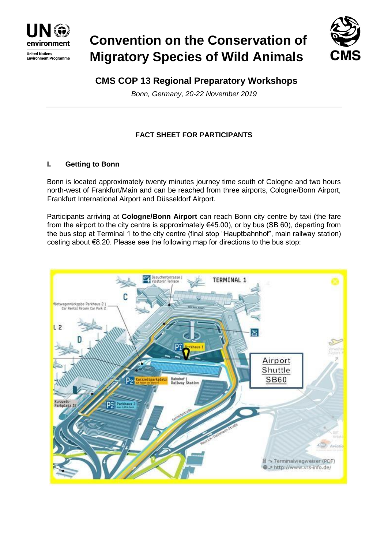

# **Convention on the Conservation of Migratory Species of Wild Animals**



# **CMS COP 13 Regional Preparatory Workshops**

*Bonn, Germany, 20-22 November 2019* 

# **FACT SHEET FOR PARTICIPANTS**

## **I. Getting to Bonn**

Bonn is located approximately twenty minutes journey time south of Cologne and two hours north-west of Frankfurt/Main and can be reached from three airports, Cologne/Bonn Airport, Frankfurt International Airport and Düsseldorf Airport.

Participants arriving at **Cologne/Bonn Airport** can reach Bonn city centre by taxi (the fare from the airport to the city centre is approximately  $€45.00$ ), or by bus (SB 60), departing from the bus stop at Terminal 1 to the city centre (final stop "Hauptbahnhof", main railway station) costing about €8.20. Please see the following map for directions to the bus stop:

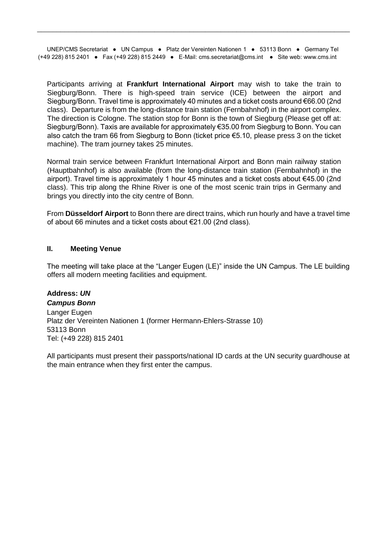UNEP/CMS Secretariat ● UN Campus ● Platz der Vereinten Nationen 1 ● 53113 Bonn ● Germany Tel (+49 228) 815 2401 ● Fax (+49 228) 815 2449 ● E-Mail: cms.secretariat@cms.int ● Site web: www.cms.int

\_\_\_\_\_\_\_\_\_\_\_\_\_\_\_\_\_\_\_\_\_\_\_\_\_\_\_\_\_\_\_\_\_\_\_\_\_\_\_\_\_\_\_\_\_\_\_\_\_\_\_\_\_\_\_\_\_\_\_\_\_\_\_\_\_\_\_\_\_\_\_\_\_\_\_\_\_\_\_\_

Participants arriving at **Frankfurt International Airport** may wish to take the train to Siegburg/Bonn. There is high-speed train service (ICE) between the airport and Siegburg/Bonn. Travel time is approximately 40 minutes and a ticket costs around €66.00 (2nd class). Departure is from the long-distance train station (Fernbahnhof) in the airport complex. The direction is Cologne. The station stop for Bonn is the town of Siegburg (Please get off at: Siegburg/Bonn). Taxis are available for approximately €35.00 from Siegburg to Bonn. You can also catch the tram 66 from Siegburg to Bonn (ticket price €5.10, please press 3 on the ticket machine). The tram journey takes 25 minutes.

Normal train service between Frankfurt International Airport and Bonn main railway station (Hauptbahnhof) is also available (from the long-distance train station (Fernbahnhof) in the airport). Travel time is approximately 1 hour 45 minutes and a ticket costs about €45.00 (2nd class). This trip along the Rhine River is one of the most scenic train trips in Germany and brings you directly into the city centre of Bonn.

From **Düsseldorf Airport** to Bonn there are direct trains, which run hourly and have a travel time of about 66 minutes and a ticket costs about €21.00 (2nd class).

#### **II. Meeting Venue**

The meeting will take place at the "Langer Eugen (LE)" inside the UN Campus. The LE building offers all modern meeting facilities and equipment.

# **Address:** *UN*

*Campus Bonn*  Langer Eugen Platz der Vereinten Nationen 1 (former Hermann-Ehlers-Strasse 10) 53113 Bonn Tel: (+49 228) 815 2401

All participants must present their passports/national ID cards at the UN security guardhouse at the main entrance when they first enter the campus.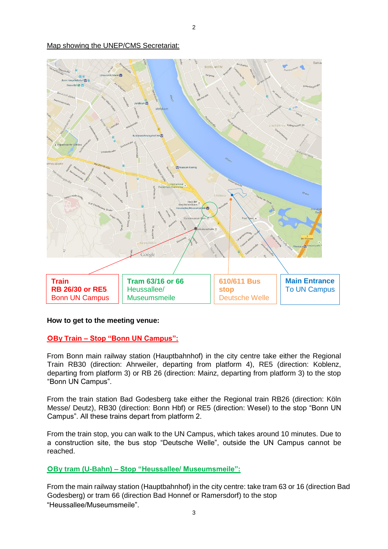#### Map showing the UNEP/CMS Secretariat:



#### **How to get to the meeting venue:**

#### **By Train – Stop "Bonn UN Campus":**

From Bonn main railway station (Hauptbahnhof) in the city centre take either the Regional Train RB30 (direction: Ahrweiler, departing from platform 4), RE5 (direction: Koblenz, departing from platform 3) or RB 26 (direction: Mainz, departing from platform 3) to the stop "Bonn UN Campus".

From the train station Bad Godesberg take either the Regional train RB26 (direction: Köln Messe/ Deutz), RB30 (direction: Bonn Hbf) or RE5 (direction: Wesel) to the stop "Bonn UN Campus". All these trains depart from platform 2.

From the train stop, you can walk to the UN Campus, which takes around 10 minutes. Due to a construction site, the bus stop "Deutsche Welle", outside the UN Campus cannot be reached.

## **By tram (U-Bahn) – Stop "Heussallee/ Museumsmeile":**

From the main railway station (Hauptbahnhof) in the city centre: take tram 63 or 16 (direction Bad Godesberg) or tram 66 (direction Bad Honnef or Ramersdorf) to the stop "Heussallee/Museumsmeile".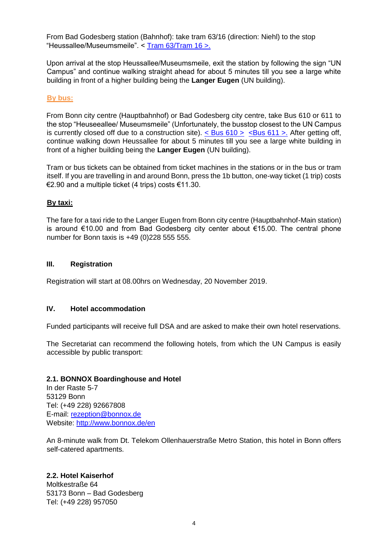From Bad Godesberg station (Bahnhof): take tram 63/16 (direction: Niehl) to the stop "Heussallee/Museumsmeile". < [Tram 63/Tram 16 >.](https://ekapweb.vrsinfo.de/uploads/tx_ekap/linien/mini-fahrplan/2017_63-63.pdf)

Upon arrival at the stop Heussallee/Museumsmeile, exit the station by following the sign "UN Campus" and continue walking straight ahead for about 5 minutes till you see a large white building in front of a higher building being the **Langer Eugen** (UN building).

#### **By bus:**

From Bonn city centre (Hauptbahnhof) or Bad Godesberg city centre, take Bus 610 or 611 to the stop "Heuseeallee/ Museumsmeile" (Unfortunately, the busstop closest to the UN Campus is currently closed off due to a construction site).  $\langle$  Bus 610 >  $\langle$  Bus 611 >. After getting off, continue walking down Heussallee for about 5 minutes till you see a large white building in front of a higher building being the **Langer Eugen** (UN building).

Tram or bus tickets can be obtained from ticket machines in the stations or in the bus or tram itself. If you are travelling in and around Bonn, press the 1b button, one-way ticket (1 trip) costs €2.90 and a multiple ticket (4 trips) costs €11.30.

#### **By taxi:**

The fare for a taxi ride to the Langer Eugen from Bonn city centre (Hauptbahnhof-Main station) is around €10.00 and from Bad Godesberg city center about €15.00. The central phone number for Bonn taxis is +49 (0)228 555 555.

#### **III. Registration**

Registration will start at 08.00hrs on Wednesday, 20 November 2019.

#### **IV. Hotel accommodation**

Funded participants will receive full DSA and are asked to make their own hotel reservations.

The Secretariat can recommend the following hotels, from which the UN Campus is easily accessible by public transport:

#### **2.1. BONNOX Boardinghouse and Hotel**

In der Raste 5-7 53129 Bonn Tel: (+49 228) 92667808 E-mail: rezeption@bonnox.de Website:<http://www.bonnox.de/en>

An 8-minute walk from Dt. Telekom Ollenhauerstraße Metro Station, this hotel in Bonn offers self-catered apartments.

#### **2.2. Hotel Kaiserhof**

Moltkestraße 64 53173 Bonn – Bad Godesberg Tel: (+49 228) 957050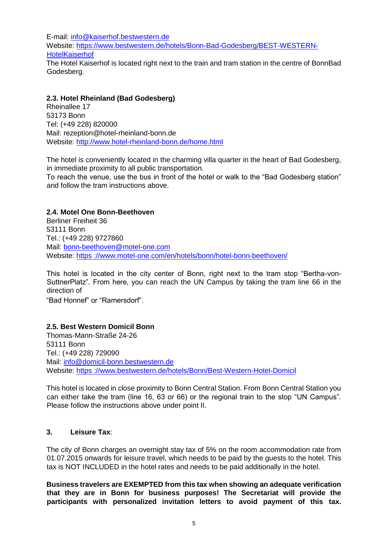E-mail: info@kaiserhof.bestwestern.de Website: [https://www.bestwestern.de/hotels/Bonn-Bad-Godesberg/BEST-WESTERN-](https://www.bestwestern.de/hotels/Bonn-Bad-Godesberg/BEST-WESTERN-Hotel-Kaiserhof)**[HotelKaiserhof](https://www.bestwestern.de/hotels/Bonn-Bad-Godesberg/BEST-WESTERN-Hotel-Kaiserhof)** The Hotel Kaiserhof is located right next to the train and tram station in the centre of BonnBad Godesberg.

## **2.3. Hotel Rheinland (Bad Godesberg)**

Rheinallee 17 53173 Bonn Tel: (+49 228) 820000 Mail: rezeption@hotel-rheinland-bonn.de Website:<http://www.hotel-rheinland-bonn.de/home.html>

The hotel is conveniently located in the charming villa quarter in the heart of Bad Godesberg, in immediate proximity to all public transportation.

To reach the venue, use the bus in front of the hotel or walk to the "Bad Godesberg station" and follow the tram instructions above.

## **2.4. Motel One Bonn-Beethoven**

Berliner Freiheit 36 53111 Bonn Tel.: (+49 228) 9727860 Mail: bonn-beethoven@motel-one.com Website: [https](https://www.motel-one.com/en/hotels/bonn/hotel-bonn-beethoven/) [://www.motel-one.com/en/hotels/bonn/hotel-bonn-beethoven/](https://www.motel-one.com/en/hotels/bonn/hotel-bonn-beethoven/)

This hotel is located in the city center of Bonn, right next to the tram stop "Bertha-von-SuttnerPlatz". From here, you can reach the UN Campus by taking the tram line 66 in the direction of

"Bad Honnef" or "Ramersdorf".

#### **2.5. Best Western Domicil Bonn**

Thomas-Mann-Straße 24-26 53111 Bonn Tel.: (+49 228) 729090 Mail: info@domicil-bonn.bestwestern.de Website: [https](https://www.bestwestern.de/hotels/Bonn/Best-Western-Hotel-Domicil) [://www.bestwestern.de/hotels/Bonn/Best-Western-Hotel-Domicil](https://www.bestwestern.de/hotels/Bonn/Best-Western-Hotel-Domicil)

This hotel is located in close proximity to Bonn Central Station. From Bonn Central Station you can either take the tram (line 16, 63 or 66) or the regional train to the stop "UN Campus". Please follow the instructions above under point II.

## **3. Leisure Tax**:

The city of Bonn charges an overnight stay tax of 5% on the room accommodation rate from 01.07.2015 onwards for leisure travel, which needs to be paid by the guests to the hotel. This tax is NOT INCLUDED in the hotel rates and needs to be paid additionally in the hotel.

**Business travelers are EXEMPTED from this tax when showing an adequate verification that they are in Bonn for business purposes! The Secretariat will provide the participants with personalized invitation letters to avoid payment of this tax.**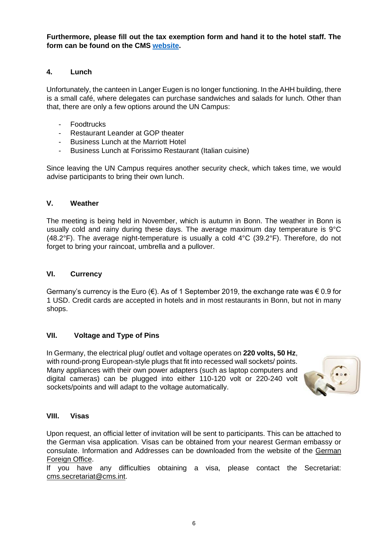**Furthermore, please fill out the tax exemption form and hand it to the hotel staff. The form can be found on the CMS [website.](https://www.cms.int/sites/default/files/document/tax%20exemption%20form_1.pdf)**

#### **4. Lunch**

Unfortunately, the canteen in Langer Eugen is no longer functioning. In the AHH building, there is a small café, where delegates can purchase sandwiches and salads for lunch. Other than that, there are only a few options around the UN Campus:

- Foodtrucks
- Restaurant Leander at GOP theater
- Business Lunch at the Marriott Hotel
- Business Lunch at Forissimo Restaurant (Italian cuisine)

Since leaving the UN Campus requires another security check, which takes time, we would advise participants to bring their own lunch.

#### **V. Weather**

The meeting is being held in November, which is autumn in Bonn. The weather in Bonn is usually cold and rainy during these days. The average maximum day temperature is 9°C (48.2°F). The average night-temperature is usually a cold 4°C (39.2°F). Therefore, do not forget to bring your raincoat, umbrella and a pullover.

#### **VI. Currency**

Germany's currency is the Euro ( $\epsilon$ ). As of 1 September 2019, the exchange rate was  $\epsilon$  0.9 for 1 USD. Credit cards are accepted in hotels and in most restaurants in Bonn, but not in many shops.

#### **VII. Voltage and Type of Pins**

In Germany, the electrical plug/ outlet and voltage operates on **220 volts, 50 Hz**, with round-prong European-style plugs that fit into recessed wall sockets/ points. Many appliances with their own power adapters (such as laptop computers and digital cameras) can be plugged into either 110-120 volt or 220-240 volt sockets/points and will adapt to the voltage automatically.



#### **VIII. Visas**

Upon request, an official letter of invitation will be sent to participants. This can be attached to the German visa application. Visas can be obtained from your nearest German embassy or consulate. Information and Addresses can be downloaded from the website of the [German](https://www.auswaertiges-amt.de/en/einreiseundaufenthalt/visabestimmungen-node) [Foreign Office.](https://www.auswaertiges-amt.de/en/einreiseundaufenthalt/visabestimmungen-node)

If you have any difficulties obtaining a visa, please contact the Secretariat: cms.secretariat@cms.int.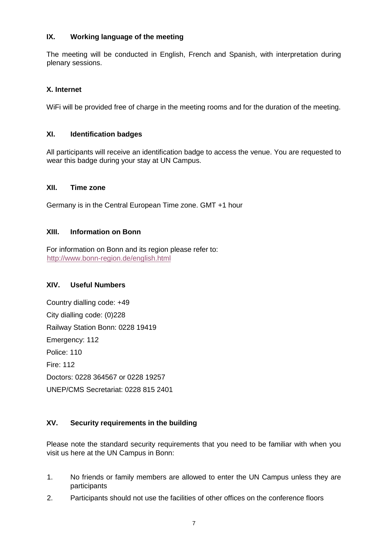## **IX. Working language of the meeting**

The meeting will be conducted in English, French and Spanish, with interpretation during plenary sessions.

# **X. Internet**

WiFi will be provided free of charge in the meeting rooms and for the duration of the meeting.

#### **XI. Identification badges**

All participants will receive an identification badge to access the venue. You are requested to wear this badge during your stay at UN Campus.

#### **XII. Time zone**

Germany is in the Central European Time zone. GMT +1 hour

## **XIII. Information on Bonn**

For information on Bonn and its region please refer to: <http://www.bonn-region.de/english.html>

#### **XIV. Useful Numbers**

Country dialling code: +49 City dialling code: (0)228 Railway Station Bonn: 0228 19419 Emergency: 112 Police: 110 Fire: 112 Doctors: 0228 364567 or 0228 19257 UNEP/CMS Secretariat: 0228 815 2401

# **XV. Security requirements in the building**

Please note the standard security requirements that you need to be familiar with when you visit us here at the UN Campus in Bonn:

- 1. No friends or family members are allowed to enter the UN Campus unless they are participants
- 2. Participants should not use the facilities of other offices on the conference floors